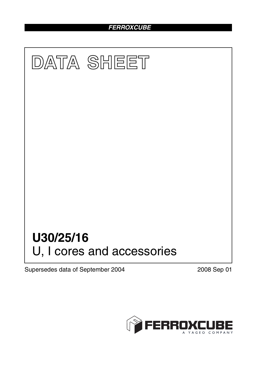## *FERROXCUBE*



Supersedes data of September 2004 2008 Sep 01

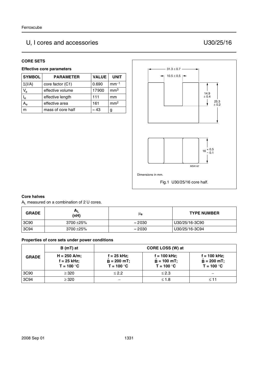# U, I cores and accessories U30/25/16

#### **CORE SETS**

### **Effective core parameters**

| <b>SYMBOL</b>             | <b>PARAMETER</b>  | <b>VALUE</b> | <b>UNIT</b>     |
|---------------------------|-------------------|--------------|-----------------|
| $\Sigma(I/A)$             | core factor (C1)  | 0.690        | $mm-1$          |
| $V_{\rm e}$               | effective volume  | 17900        | mm <sup>3</sup> |
| $\mathsf{I}_{\mathsf{e}}$ | effective length  | 111          | mm              |
| A <sub>e</sub>            | effective area    | 161          | mm <sup>2</sup> |
| m                         | mass of core half | $\approx 43$ | g               |



#### **Core halves**

AL measured on a combination of 2 U cores.

| <b>GRADE</b> | AL<br>(nH)    | μe             | <b>TYPE NUMBER</b> |
|--------------|---------------|----------------|--------------------|
| 3C90         | $3700 + 25\%$ | $\approx$ 2030 | U30/25/16-3C90     |
| 3C94         | $3700 + 25\%$ | $\approx$ 2030 | U30/25/16-3C94     |

#### **Properties of core sets under power conditions**

|              | B (mT) at                                       |                                                | CORE LOSS (W) at                                |                                                 |
|--------------|-------------------------------------------------|------------------------------------------------|-------------------------------------------------|-------------------------------------------------|
| <b>GRADE</b> | $H = 250$ A/m;<br>$f = 25$ kHz;<br>$T = 100 °C$ | $f = 25$ kHz;<br>$B = 200$ mT;<br>$T = 100 °C$ | $f = 100$ kHz;<br>$B = 100$ mT;<br>$T = 100 °C$ | $f = 100$ kHz;<br>$B = 200$ mT;<br>$T = 100 °C$ |
| 3C90         | $\geq$ 320                                      | $\leq$ 2.2                                     | $\leq$ 2.3                                      |                                                 |
| 3C94         | $\geq 320$                                      |                                                | $≤ 1.8$                                         | $<$ 11                                          |